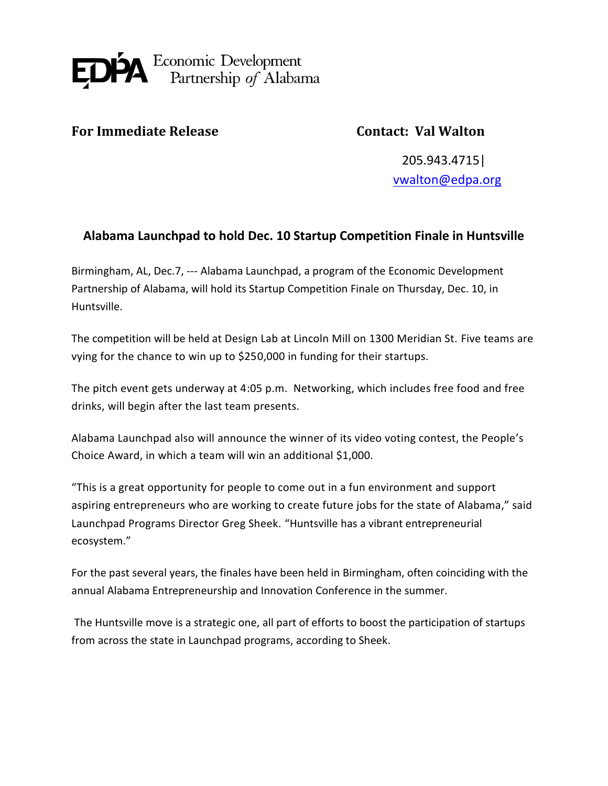

## **For Immediate Release Contact: Val Walton**

205.943.4715| [vwalton@edpa.org](mailto:vwalton@edpa.org)

## **Alabama Launchpad to hold Dec. 10 Startup Competition Finale in Huntsville**

Birmingham, AL, Dec.7, --- Alabama Launchpad, a program of the Economic Development Partnership of Alabama, will hold its Startup Competition Finale on Thursday, Dec. 10, in Huntsville.

The competition will be held at Design Lab at Lincoln Mill on 1300 Meridian St. Five teams are vying for the chance to win up to \$250,000 in funding for their startups.

The pitch event gets underway at 4:05 p.m. Networking, which includes free food and free drinks, will begin after the last team presents.

Alabama Launchpad also will announce the winner of its video voting contest, the People's Choice Award, in which a team will win an additional \$1,000.

"This is a great opportunity for people to come out in a fun environment and support aspiring entrepreneurs who are working to create future jobs for the state of Alabama," said Launchpad Programs Director Greg Sheek. "Huntsville has a vibrant entrepreneurial ecosystem."

For the past several years, the finales have been held in Birmingham, often coinciding with the annual Alabama Entrepreneurship and Innovation Conference in the summer.

The Huntsville move is a strategic one, all part of efforts to boost the participation of startups from across the state in Launchpad programs, according to Sheek.